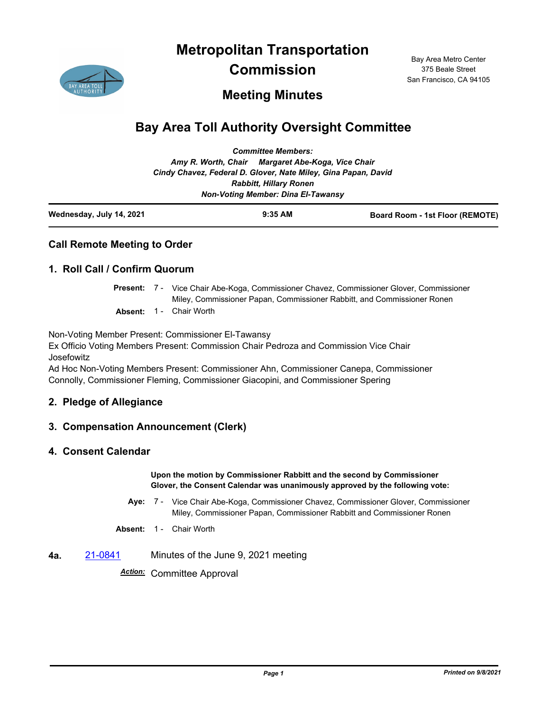**Metropolitan Transportation** 



**Commission**

Bay Area Metro Center 375 Beale Street San Francisco, CA 94105

# **Meeting Minutes**

# **Bay Area Toll Authority Oversight Committee**

|                          |                                                                | <b>Committee Members:</b>                 |                                 |
|--------------------------|----------------------------------------------------------------|-------------------------------------------|---------------------------------|
|                          | Amy R. Worth, Chair Margaret Abe-Koga, Vice Chair              |                                           |                                 |
|                          | Cindy Chavez, Federal D. Glover, Nate Miley, Gina Papan, David |                                           |                                 |
|                          |                                                                | <b>Rabbitt, Hillary Ronen</b>             |                                 |
|                          |                                                                | <b>Non-Voting Member: Dina El-Tawansy</b> |                                 |
| Wednesday, July 14, 2021 |                                                                | $9:35$ AM                                 | Board Room - 1st Floor (REMOTE) |

## **Call Remote Meeting to Order**

#### **1. Roll Call / Confirm Quorum**

Present: 7 - Vice Chair Abe-Koga, Commissioner Chavez, Commissioner Glover, Commissioner Miley, Commissioner Papan, Commissioner Rabbitt, and Commissioner Ronen

**Absent:** 1 - Chair Worth

Non-Voting Member Present: Commissioner El-Tawansy

Ex Officio Voting Members Present: Commission Chair Pedroza and Commission Vice Chair Josefowitz

Ad Hoc Non-Voting Members Present: Commissioner Ahn, Commissioner Canepa, Commissioner Connolly, Commissioner Fleming, Commissioner Giacopini, and Commissioner Spering

#### **2. Pledge of Allegiance**

#### **3. Compensation Announcement (Clerk)**

#### **4. Consent Calendar**

**Upon the motion by Commissioner Rabbitt and the second by Commissioner Glover, the Consent Calendar was unanimously approved by the following vote:**

Aye: 7 - Vice Chair Abe-Koga, Commissioner Chavez, Commissioner Glover, Commissioner Miley, Commissioner Papan, Commissioner Rabbitt and Commissioner Ronen

**Absent:** 1 - Chair Worth

**4a.** [21-0841](http://mtc.legistar.com/gateway.aspx?m=l&id=/matter.aspx?key=22434) Minutes of the June 9, 2021 meeting

*Action:* Committee Approval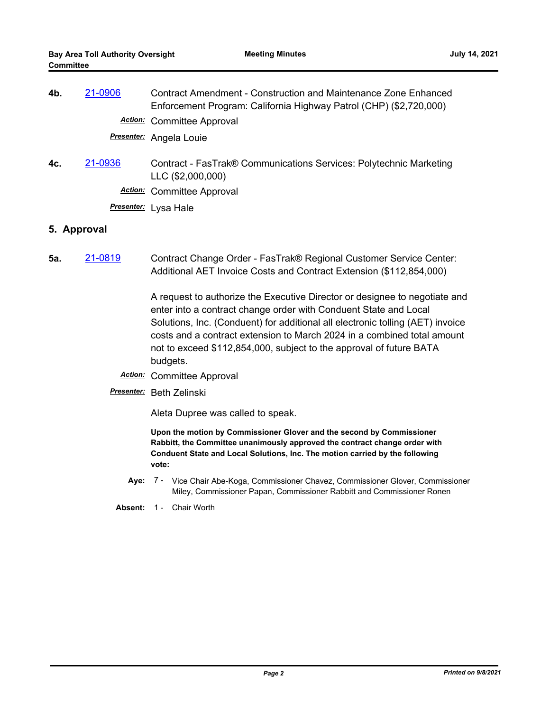| 4b. | 21-0906 | <b>Contract Amendment - Construction and Maintenance Zone Enhanced</b><br>Enforcement Program: California Highway Patrol (CHP) (\$2,720,000) |
|-----|---------|----------------------------------------------------------------------------------------------------------------------------------------------|
|     |         | <b>Action:</b> Committee Approval                                                                                                            |
|     |         | <b>Presenter:</b> Angela Louie                                                                                                               |
| 4c. | 21-0936 | Contract - FasTrak® Communications Services: Polytechnic Marketing<br>LLC (\$2,000,000)                                                      |
|     |         | <b>Action:</b> Committee Approval                                                                                                            |
|     |         | <b>Presenter:</b> Lysa Hale                                                                                                                  |

#### **5. Approval**

**5a.** [21-0819](http://mtc.legistar.com/gateway.aspx?m=l&id=/matter.aspx?key=22412) Contract Change Order - FasTrak® Regional Customer Service Center: Additional AET Invoice Costs and Contract Extension (\$112,854,000)

> A request to authorize the Executive Director or designee to negotiate and enter into a contract change order with Conduent State and Local Solutions, Inc. (Conduent) for additional all electronic tolling (AET) invoice costs and a contract extension to March 2024 in a combined total amount not to exceed \$112,854,000, subject to the approval of future BATA budgets.

- *Action:* Committee Approval
- *Presenter:* Beth Zelinski

Aleta Dupree was called to speak.

**Upon the motion by Commissioner Glover and the second by Commissioner Rabbitt, the Committee unanimously approved the contract change order with Conduent State and Local Solutions, Inc. The motion carried by the following vote:**

- Aye: 7 Vice Chair Abe-Koga, Commissioner Chavez, Commissioner Glover, Commissioner Miley, Commissioner Papan, Commissioner Rabbitt and Commissioner Ronen
- Absent: 1 Chair Worth